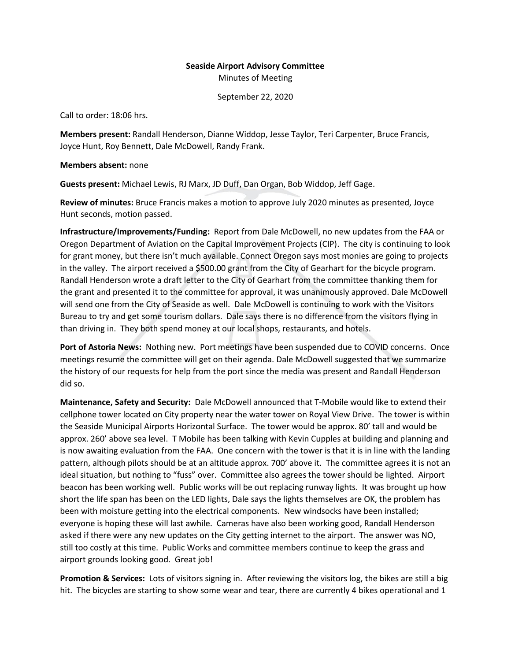## **Seaside Airport Advisory Committee** Minutes of Meeting

September 22, 2020

Call to order: 18:06 hrs.

**Members present:** Randall Henderson, Dianne Widdop, Jesse Taylor, Teri Carpenter, Bruce Francis, Joyce Hunt, Roy Bennett, Dale McDowell, Randy Frank.

**Members absent:** none

**Guests present:** Michael Lewis, RJ Marx, JD Duff, Dan Organ, Bob Widdop, Jeff Gage.

**Review of minutes:** Bruce Francis makes a motion to approve July 2020 minutes as presented, Joyce Hunt seconds, motion passed.

**Infrastructure/Improvements/Funding:** Report from Dale McDowell, no new updates from the FAA or Oregon Department of Aviation on the Capital Improvement Projects (CIP). The city is continuing to look for grant money, but there isn't much available. Connect Oregon says most monies are going to projects in the valley. The airport received a \$500.00 grant from the City of Gearhart for the bicycle program. Randall Henderson wrote a draft letter to the City of Gearhart from the committee thanking them for the grant and presented it to the committee for approval, it was unanimously approved. Dale McDowell will send one from the City of Seaside as well. Dale McDowell is continuing to work with the Visitors Bureau to try and get some tourism dollars. Dale says there is no difference from the visitors flying in than driving in. They both spend money at our local shops, restaurants, and hotels.

**Port of Astoria News:** Nothing new. Port meetings have been suspended due to COVID concerns. Once meetings resume the committee will get on their agenda. Dale McDowell suggested that we summarize the history of our requests for help from the port since the media was present and Randall Henderson did so.

**Maintenance, Safety and Security:** Dale McDowell announced that T-Mobile would like to extend their cellphone tower located on City property near the water tower on Royal View Drive. The tower is within the Seaside Municipal Airports Horizontal Surface. The tower would be approx. 80' tall and would be approx. 260' above sea level. T Mobile has been talking with Kevin Cupples at building and planning and is now awaiting evaluation from the FAA. One concern with the tower is that it is in line with the landing pattern, although pilots should be at an altitude approx. 700' above it. The committee agrees it is not an ideal situation, but nothing to "fuss" over. Committee also agrees the tower should be lighted. Airport beacon has been working well. Public works will be out replacing runway lights. It was brought up how short the life span has been on the LED lights, Dale says the lights themselves are OK, the problem has been with moisture getting into the electrical components. New windsocks have been installed; everyone is hoping these will last awhile. Cameras have also been working good, Randall Henderson asked if there were any new updates on the City getting internet to the airport. The answer was NO, still too costly at this time. Public Works and committee members continue to keep the grass and airport grounds looking good. Great job!

**Promotion & Services:** Lots of visitors signing in. After reviewing the visitors log, the bikes are still a big hit. The bicycles are starting to show some wear and tear, there are currently 4 bikes operational and 1